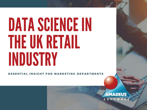# DATA SCIENCE IN THE UK RETAIL INDUSTRY

ESSENTIAL INSIGHT FOR MARKETING DEPARTMENTS

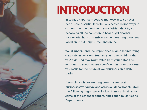

# **INTRODUCTION**

In today's hyper-competitive marketplace, it's never been more essential for retail businesses to find ways to cement their hold on the market. Within the UK, it's becoming all too common to hear of yet another retailer who has succumbed to the mounting pressures faced on the UK high street and online.

We all understand the importance of data for informing data-driven decisions. But, are you truly confident that you're getting maximum value from your data? And, without it, can you be truly confident in those decisions you make for the future of your business on a daily basis?

Data science holds exciting potential for retail businesses worldwide and across all departments. Over the following pages, we've looked in more detail at just some of the potential opportunities open to Marketing Departments.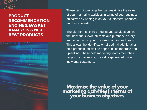

### PRODUCT RECOMMENDATION ENGINES, BASKET ANALYSIS & NEXT BEST PRODUCTS

These techniques together can maximise the value of your marketing activities in terms of your business objectives by honing in on your customers' priorities and key interests.

The algorithms score products and services against the individuals' own interests and purchase history and according to your business' targets and goals. This allows the identification of optimal additional or next products, as well as opportunities for cross and up-selling. These help marketing teams meet their targets by maximising the value generated through individual customers.

**Maximise the value of your marketing activities in terms of your business objectives**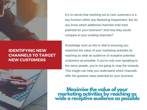

### IDENTIFYING NEW CHANNELS TO TARGET NEW CUSTOMERS



It's no secret that reaching out to new customers is a key function within any Marketing Department. But do you know which additional channels hold most potential for your business? And how they would compare to your existing channels?

Knowledge such as this is vital to ensuring you maximise the value of your marketing activities by reaching as wide an audience of receptive potential customers as possible. If you're only ever speaking to the same people, you're not going to reap the rewards. This insight can help you understand which channels offer the greatest value potential for your business.

**Maximise the value of your marketing activities by reaching as wide a receptive audience as possible**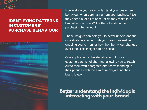

## IDENTIFYING PATTERNS IN CUSTOMERS' PURCHASE BEHAVIOUR



How well do you really understand your customers' behaviour when purchasing from your business? Do they spend a lot all at once, or do they make lots of low value purchases? Are there trends in their purchasing behaviour?

These insights can help you to better understand the individuals interacting with your brand, as well as enabling you to monitor how their behaviour changes over time. This insight can be critical.

One application is the identification of those customers at risk of churning, allowing you to reach out to them with a targeted offer corresponding to their priorities with the aim of reinvigorating their brand loyalty.

# **Better understand the individuals interacting with your brand**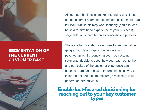

## SEGMENTATION OF THE CURRENT CUSTOMER BASE



All too often businesses make unfounded decisions about customer segmentation based on little more than intuition. Whilst this may work in theory (and a lot can be said for first-hand experience of your business), segmentation should be an evidence-based process.

There are four standard categories for segmentation: geographic, demographic, behavioural and psychographic. By identifying your key customer segments, decisions about how you reach out to them and particulars of the customer experience can become more fact-focused. In turn, this helps you to tailor their experience to encourage maximum value generation per individual.

# **Enable fact-focused decisioning for reaching out to your key customer types**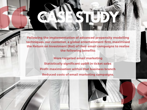#### Following the implementation of advanced propensity modelling techniques, our customer, a global entertainment firm, maximised the Return on Investment (RoI) of their email campaigns to realise the following benefits:

CASE STUDY

More targeted email marketing Statistically significant uplift in ticket sales Profit maximisation within that business branch Reduced costs of email marketing campaigns.



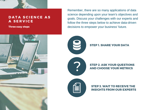

#### DATA SCIENCE AS A SERVICE

Three easy steps

Remember, there are so many applications of data science depending upon your team's objectives and goals. Discuss your challenges with our experts and follow the three steps below to achieve data-driven decisions to empower your business' future.

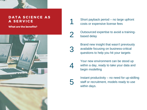

#### DATA SCIENCE AS A SERVICE

What are the benefits?



Short payback period – no large upfront costs or expensive license fees

Outsourced expertise to avoid a trainingbased delay

Brand new insight that wasn't previously available focusing on business-critical questions to help you hit your targets

Your new environment can be stood up within a day, ready to take your data and begin modelling

1

2

3

4

5

Instant productivity – no need for up-skilling staff or recruitment, models ready to use within days.